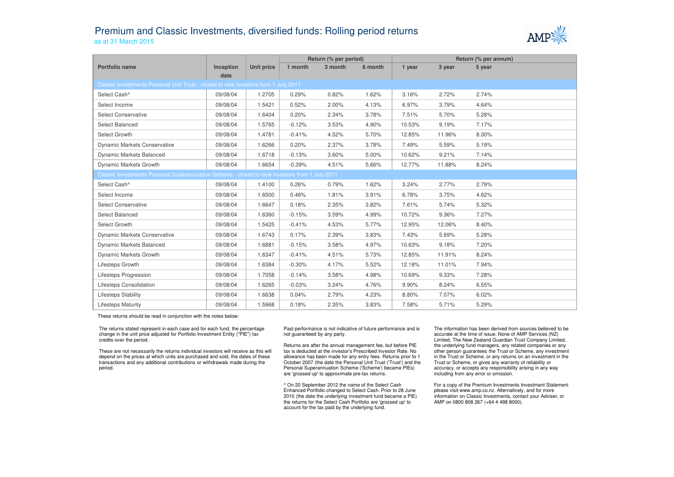## Premium and Classic Investments, diversified funds: Rolling period returnsas at 31 March 2015



|                                                                                               |           |            | Return (% per period) |         |         | Return (% per annum) |        |        |  |  |  |
|-----------------------------------------------------------------------------------------------|-----------|------------|-----------------------|---------|---------|----------------------|--------|--------|--|--|--|
| Portfolio name                                                                                | Inception | Unit price | 1 month               | 3 month | 6 month | 1 year               | 3 year | 5 year |  |  |  |
| date                                                                                          |           |            |                       |         |         |                      |        |        |  |  |  |
| Classic Investments Personal Unit Trust - closed to new investors from 1 July 2011            |           |            |                       |         |         |                      |        |        |  |  |  |
| Select Cash^                                                                                  | 09/08/04  | 1.2705     | 0.29%                 | 0.82%   | 1.62%   | 3.16%                | 2.72%  | 2.74%  |  |  |  |
| Select Income                                                                                 | 09/08/04  | 1.5421     | 0.52%                 | 2.00%   | 4.13%   | 6.97%                | 3.79%  | 4.64%  |  |  |  |
| <b>Select Conservative</b>                                                                    | 09/08/04  | 1.6404     | 0.20%                 | 2.34%   | 3.78%   | 7.51%                | 5.70%  | 5.28%  |  |  |  |
| Select Balanced                                                                               | 09/08/04  | 1.5765     | $-0.12%$              | 3.53%   | 4.90%   | 10.53%               | 9.19%  | 7.17%  |  |  |  |
| Select Growth                                                                                 | 09/08/04  | 1.4781     | $-0.41%$              | 4.52%   | 5.70%   | 12.85%               | 11.96% | 8.30%  |  |  |  |
| Dynamic Markets Conservative                                                                  | 09/08/04  | 1.6266     | 0.20%                 | 2.37%   | 3.78%   | 7.49%                | 5.59%  | 5.19%  |  |  |  |
| <b>Dynamic Markets Balanced</b>                                                               | 09/08/04  | 1.6718     | $-0.13%$              | 3.60%   | 5.00%   | 10.62%               | 9.21%  | 7.14%  |  |  |  |
| Dynamic Markets Growth                                                                        | 09/08/04  | 1.6654     | $-0.39%$              | 4.51%   | 5.66%   | 12.77%               | 11.88% | 8.24%  |  |  |  |
| Classic Investments Personal Superannuation Scheme - closed to new investors from 1 July 2011 |           |            |                       |         |         |                      |        |        |  |  |  |
| Select Cash^                                                                                  | 09/08/04  | 1.4100     | 0.26%                 | 0.79%   | 1.62%   | 3.24%                | 2.77%  | 2.79%  |  |  |  |
| Select Income                                                                                 | 09/08/04  | 1.6500     | 0.46%                 | 1.81%   | 3.91%   | 6.78%                | 3.75%  | 4.62%  |  |  |  |
| <b>Select Conservative</b>                                                                    | 09/08/04  | 1.6647     | 0.18%                 | 2.35%   | 3.82%   | 7.61%                | 5.74%  | 5.32%  |  |  |  |
| Select Balanced                                                                               | 09/08/04  | 1.6360     | $-0.15%$              | 3.59%   | 4.99%   | 10.72%               | 9.36%  | 7.27%  |  |  |  |
| Select Growth                                                                                 | 09/08/04  | 1.5425     | $-0.41%$              | 4.53%   | 5.77%   | 12.95%               | 12.06% | 8.40%  |  |  |  |
| Dynamic Markets Conservative                                                                  | 09/08/04  | 1.6743     | 0.17%                 | 2.39%   | 3.83%   | 7.43%                | 5.69%  | 5.28%  |  |  |  |
| Dynamic Markets Balanced                                                                      | 09/08/04  | 1.6881     | $-0.15%$              | 3.58%   | 4.97%   | 10.63%               | 9.18%  | 7.20%  |  |  |  |
| Dynamic Markets Growth                                                                        | 09/08/04  | 1.6347     | $-0.41%$              | 4.51%   | 5.73%   | 12.85%               | 11.91% | 8.24%  |  |  |  |
| Lifesteps Growth                                                                              | 09/08/04  | 1.6384     | $-0.30%$              | 4.17%   | 5.52%   | 12.18%               | 11.01% | 7.94%  |  |  |  |
| Lifesteps Progression                                                                         | 09/08/04  | 1.7058     | $-0.14%$              | 3.58%   | 4.98%   | 10.69%               | 9.33%  | 7.28%  |  |  |  |
| Lifesteps Consolidation                                                                       | 09/08/04  | 1.6265     | $-0.03%$              | 3.24%   | 4.76%   | 9.90%                | 8.24%  | 6.55%  |  |  |  |
| <b>Lifesteps Stability</b>                                                                    | 09/08/04  | 1.6638     | 0.04%                 | 2.79%   | 4.23%   | 8.80%                | 7.07%  | 6.02%  |  |  |  |
| <b>Lifesteps Maturity</b>                                                                     | 09/08/04  | 1.5968     | 0.18%                 | 2.35%   | 3.83%   | 7.58%                | 5.71%  | 5.29%  |  |  |  |

These returns should be read in conjunction with the notes below:

The returns stated represent in each case and for each fund, the percentage change in the unit price adjusted for Portfolio Investment Entity ("PIE") tax credits over the period.

These are not necessarily the returns individual investors will receive as this will depend on the prices at which units are purchased and sold, the dates of these transactions and any additional contributions or withdrawals made during the period.

Past performance is not indicative of future performance and is not guaranteed by any party.

Returns are after the annual management fee, but before PIE tax is deducted at the investor's Prescribed Investor Rate. No allowance has been made for any entry fees. Returns prior to 1 October 2007 (the date the Personal Unit Trust ('Trust') and the Personal Superannuation Scheme ('Scheme') became PIEs) are 'grossed up' to approximate pre-tax returns.

^ On 20 September 2012 the name of the Select Cash Enhanced Portfolio changed to Select Cash. Prior to 28 June 2010 (the date the underlying investment fund became a PIE) the returns for the Select Cash Portfolio are 'grossed up' to account for the tax paid by the underlying fund.

The information has been derived from sources believed to be accurate at the time of issue. None of AMP Services (NZ) Limited, The New Zealand Guardian Trust Company Limited, the underlying fund managers, any related companies or any other person guarantees the Trust or Scheme, any investment in the Trust or Scheme, or any returns on an investment in the Trust or Scheme, or gives any warranty of reliability or accuracy, or accepts any responsibility arising in any way including from any error or omission.

For a copy of the Premium Investments Investment Statement please visit www.amp.co.nz. Alternatively, and for more information on Classic Investments, contact your Adviser, or AMP on 0800 808 267 (+64 4 498 8000).